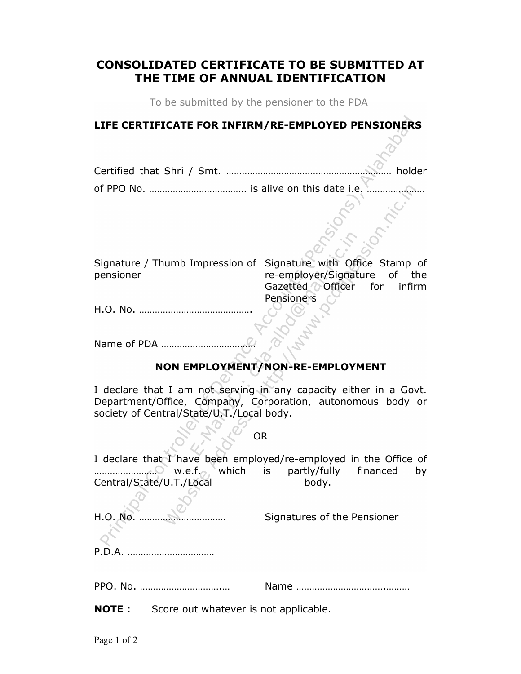# CONSOLIDATED CERTIFICATE TO BE SUBMITTED AT THE TIME OF ANNUAL IDENTIFICATION

To be submitted by the pensioner to the PDA

## LIFE CERTIFICATE FOR INFIRM/RE-EMPLOYED PENSIONERS

of PPO No. ………………………………. is alive on this date i.e. ………………….

pensioner

Signature / Thumb Impression of Signature with Office Stamp of re-employer/Signature of the Gazetted Officer for infirm **Pensioners** 

H.O. No. …………………………………….

Name of PDA ………………………………

## NON EMPLOYMENT/NON-RE-EMPLOYMENT

I declare that I am not serving in any capacity either in a Govt. Department/Office, Company, Corporation, autonomous body or society of Central/State/U.T./Local body.

#### OR

I declare that I have been employed/re-employed in the Office of …………………… w.e.f. which is partly/fully financed by Central/State/U.T./Local body.

H.O. No. …………………………… Signatures of the Pensioner

P.D.A. ……………………………

PPO. No. ………………………….… Name …………………………….………

**NOTE** : Score out whatever is not applicable.